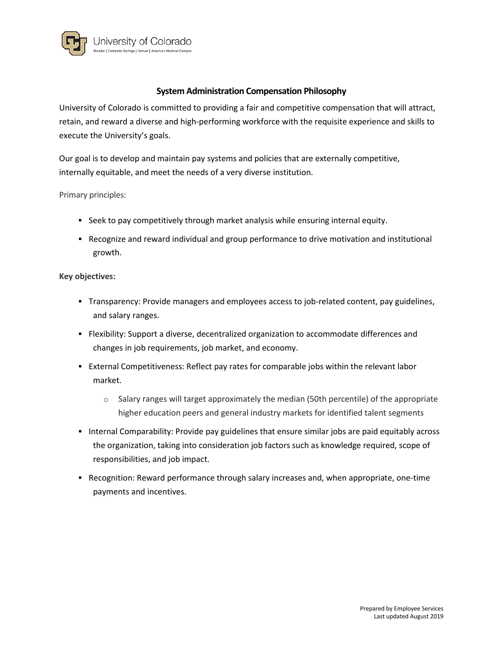

## **System Administration Compensation Philosophy**

University of Colorado is committed to providing a fair and competitive compensation that will attract, retain, and reward a diverse and high-performing workforce with the requisite experience and skills to execute the University's goals.

Our goal is to develop and maintain pay systems and policies that are externally competitive, internally equitable, and meet the needs of a very diverse institution.

Primary principles:

- Seek to pay competitively through market analysis while ensuring internal equity.
- Recognize and reward individual and group performance to drive motivation and institutional growth.

## **Key objectives:**

- Transparency: Provide managers and employees access to job-related content, pay guidelines, and salary ranges.
- Flexibility: Support a diverse, decentralized organization to accommodate differences and changes in job requirements, job market, and economy.
- External Competitiveness: Reflect pay rates for comparable jobs within the relevant labor market.
	- $\circ$  Salary ranges will target approximately the median (50th percentile) of the appropriate higher education peers and general industry markets for identified talent segments
- Internal Comparability: Provide pay guidelines that ensure similar jobs are paid equitably across the organization, taking into consideration job factors such as knowledge required, scope of responsibilities, and job impact.
- Recognition: Reward performance through salary increases and, when appropriate, one-time payments and incentives.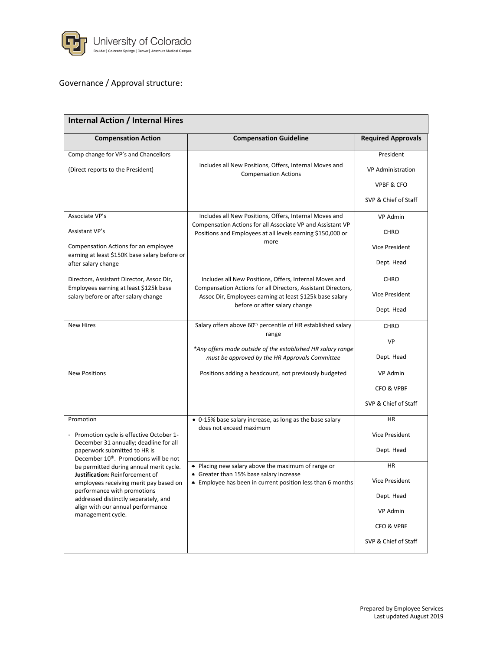

## Governance / Approval structure:

| <b>Internal Action / Internal Hires</b>                                                                                                                                                |                                                                                                                                                                                                                     |                                               |  |
|----------------------------------------------------------------------------------------------------------------------------------------------------------------------------------------|---------------------------------------------------------------------------------------------------------------------------------------------------------------------------------------------------------------------|-----------------------------------------------|--|
| <b>Compensation Action</b>                                                                                                                                                             | <b>Compensation Guideline</b>                                                                                                                                                                                       | <b>Required Approvals</b>                     |  |
| Comp change for VP's and Chancellors<br>(Direct reports to the President)                                                                                                              | Includes all New Positions, Offers, Internal Moves and                                                                                                                                                              | President<br><b>VP Administration</b>         |  |
|                                                                                                                                                                                        | <b>Compensation Actions</b>                                                                                                                                                                                         | <b>VPBF &amp; CFO</b><br>SVP & Chief of Staff |  |
| Associate VP's                                                                                                                                                                         | Includes all New Positions, Offers, Internal Moves and                                                                                                                                                              | VP Admin                                      |  |
| Assistant VP's                                                                                                                                                                         | Compensation Actions for all Associate VP and Assistant VP<br>Positions and Employees at all levels earning \$150,000 or                                                                                            | CHRO                                          |  |
| Compensation Actions for an employee<br>earning at least \$150K base salary before or                                                                                                  | more                                                                                                                                                                                                                | <b>Vice President</b>                         |  |
| after salary change                                                                                                                                                                    |                                                                                                                                                                                                                     | Dept. Head                                    |  |
| Directors, Assistant Director, Assoc Dir,<br>Employees earning at least \$125k base<br>salary before or after salary change                                                            | Includes all New Positions, Offers, Internal Moves and<br>Compensation Actions for all Directors, Assistant Directors,<br>Assoc Dir, Employees earning at least \$125k base salary<br>before or after salary change | <b>CHRO</b>                                   |  |
|                                                                                                                                                                                        |                                                                                                                                                                                                                     | <b>Vice President</b>                         |  |
|                                                                                                                                                                                        |                                                                                                                                                                                                                     | Dept. Head                                    |  |
| <b>New Hires</b>                                                                                                                                                                       | Salary offers above 60 <sup>th</sup> percentile of HR established salary<br>range                                                                                                                                   | <b>CHRO</b>                                   |  |
|                                                                                                                                                                                        | *Any offers made outside of the established HR salary range                                                                                                                                                         | <b>VP</b>                                     |  |
|                                                                                                                                                                                        | must be approved by the HR Approvals Committee                                                                                                                                                                      | Dept. Head                                    |  |
| <b>New Positions</b>                                                                                                                                                                   | Positions adding a headcount, not previously budgeted                                                                                                                                                               | VP Admin                                      |  |
|                                                                                                                                                                                        |                                                                                                                                                                                                                     | CFO & VPBF                                    |  |
|                                                                                                                                                                                        |                                                                                                                                                                                                                     | SVP & Chief of Staff                          |  |
| Promotion<br>- Promotion cycle is effective October 1-<br>December 31 annually; deadline for all<br>paperwork submitted to HR is<br>December 10 <sup>th</sup> . Promotions will be not | • 0-15% base salary increase, as long as the base salary<br>does not exceed maximum                                                                                                                                 | <b>HR</b>                                     |  |
|                                                                                                                                                                                        |                                                                                                                                                                                                                     | <b>Vice President</b>                         |  |
|                                                                                                                                                                                        |                                                                                                                                                                                                                     | Dept. Head                                    |  |
| be permitted during annual merit cycle.<br>Justification: Reinforcement of                                                                                                             | • Placing new salary above the maximum of range or<br>• Greater than 15% base salary increase                                                                                                                       | <b>HR</b>                                     |  |
| employees receiving merit pay based on                                                                                                                                                 | • Employee has been in current position less than 6 months                                                                                                                                                          | Vice President                                |  |
| performance with promotions<br>addressed distinctly separately, and                                                                                                                    |                                                                                                                                                                                                                     | Dept. Head                                    |  |
| align with our annual performance<br>management cycle.                                                                                                                                 |                                                                                                                                                                                                                     | VP Admin                                      |  |
|                                                                                                                                                                                        |                                                                                                                                                                                                                     | CFO & VPBF                                    |  |
|                                                                                                                                                                                        |                                                                                                                                                                                                                     | SVP & Chief of Staff                          |  |